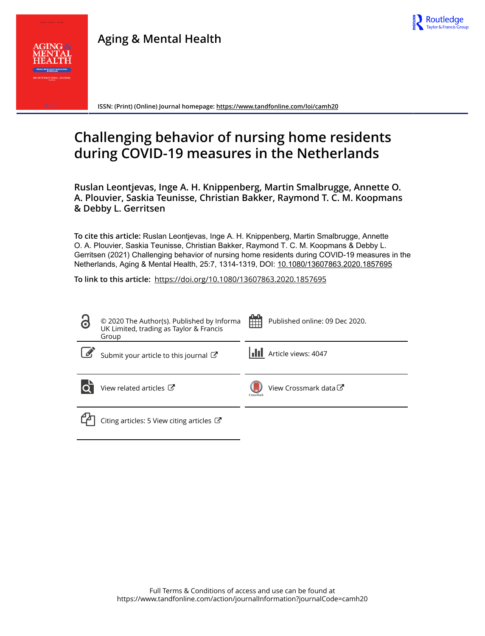



**ISSN: (Print) (Online) Journal homepage:<https://www.tandfonline.com/loi/camh20>**

# **Challenging behavior of nursing home residents during COVID-19 measures in the Netherlands**

**Ruslan Leontjevas, Inge A. H. Knippenberg, Martin Smalbrugge, Annette O. A. Plouvier, Saskia Teunisse, Christian Bakker, Raymond T. C. M. Koopmans & Debby L. Gerritsen**

**To cite this article:** Ruslan Leontjevas, Inge A. H. Knippenberg, Martin Smalbrugge, Annette O. A. Plouvier, Saskia Teunisse, Christian Bakker, Raymond T. C. M. Koopmans & Debby L. Gerritsen (2021) Challenging behavior of nursing home residents during COVID-19 measures in the Netherlands, Aging & Mental Health, 25:7, 1314-1319, DOI: [10.1080/13607863.2020.1857695](https://www.tandfonline.com/action/showCitFormats?doi=10.1080/13607863.2020.1857695)

**To link to this article:** <https://doi.org/10.1080/13607863.2020.1857695>

| $\bullet$ | © 2020 The Author(s). Published by Informa<br>UK Limited, trading as Taylor & Francis<br>Group | 雦<br>Published online: 09 Dec 2020. |
|-----------|------------------------------------------------------------------------------------------------|-------------------------------------|
|           | Submit your article to this journal                                                            | Article views: 4047                 |
|           | View related articles $\mathbb{Z}$                                                             | View Crossmark data C<br>CrossMark  |
|           | Citing articles: 5 View citing articles $\mathbb{Z}$                                           |                                     |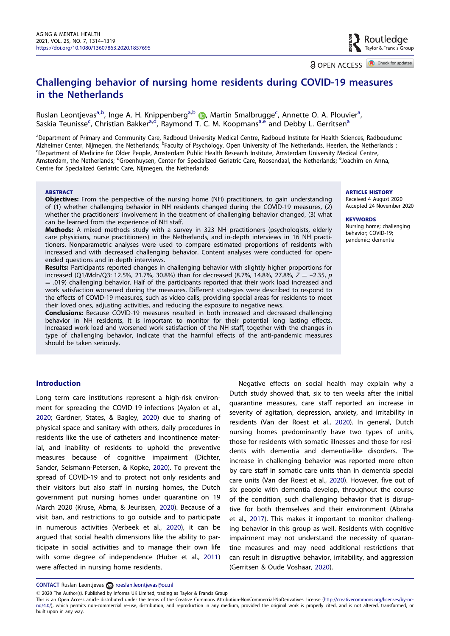**a** OPEN ACCESS **A** Check for updates

## <span id="page-1-0"></span>Challenging behavior of nursing home residents during COVID-19 measures in the Netherlands

Ruslan Leontjevas<sup>a,b</sup>, Inge A. H. Knippenberg<sup>a,b</sup> (D, Martin Smalbrugge<sup>c</sup>, Annette O. A. Plouvier<sup>a</sup>, Saskia Teunisse<sup>c</sup>, Christian Bakker<sup>a,d</sup>, Raymond T. C. M. Koopmans<sup>a,e</sup> and Debby L. Gerritsen<sup>a</sup>

<sup>a</sup>Department of Primary and Community Care, Radboud University Medical Centre, Radboud Institute for Health Sciences, Radboudumc Alzheimer Center, Nijmegen, the Netherlands; <sup>b</sup>Faculty of Psychology, Open University of The Netherlands, Heerlen, the Netherlands ;<br>Sponzetment of Medicine for Older Reeple, Amsterdam Rublic Health Research Institute, Am <sup>c</sup>Department of Medicine for Older People, Amsterdam Public Health Research Institute, Amsterdam University Medical Centre, Amsterdam, the Netherlands; <sup>d</sup>Groenhuysen, Center for Specialized Geriatric Care, Roosendaal, the Netherlands; <sup>e</sup>Joachim en Anna, Centre for Specialized Geriatric Care, Nijmegen, the Netherlands

#### **ABSTRACT**

**Objectives:** From the perspective of the nursing home (NH) practitioners, to gain understanding of (1) whether challenging behavior in NH residents changed during the COVID-19 measures, (2) whether the practitioners' involvement in the treatment of challenging behavior changed, (3) what can be learned from the experience of NH staff.

Methods: A mixed methods study with a survey in 323 NH practitioners (psychologists, elderly care physicians, nurse practitioners) in the Netherlands, and in-depth interviews in 16 NH practitioners. Nonparametric analyses were used to compare estimated proportions of residents with increased and with decreased challenging behavior. Content analyses were conducted for openended questions and in-depth interviews.

Results: Participants reported changes in challenging behavior with slightly higher proportions for increased (Q1/Mdn/Q3: 12.5%, 21.7%, 30.8%) than for decreased (8.7%, 14.8%, 27.8%,  $Z = -2.35$ , p  $=$  .019) challenging behavior. Half of the participants reported that their work load increased and work satisfaction worsened during the measures. Different strategies were described to respond to the effects of COVID-19 measures, such as video calls, providing special areas for residents to meet their loved ones, adjusting activities, and reducing the exposure to negative news.

Conclusions: Because COVID-19 measures resulted in both increased and decreased challenging behavior in NH residents, it is important to monitor for their potential long lasting effects. Increased work load and worsened work satisfaction of the NH staff, together with the changes in type of challenging behavior, indicate that the harmful effects of the anti-pandemic measures should be taken seriously.

## Introduction

Long term care institutions represent a high-risk environment for spreading the COVID-19 infections (Ayalon et al., [2020](#page-6-0); Gardner, States, & Bagley, [2020](#page-6-0)) due to sharing of physical space and sanitary with others, daily procedures in residents like the use of catheters and incontinence material, and inability of residents to uphold the preventive measures because of cognitive impairment (Dichter, Sander, Seismann-Petersen, & Kopke, [2020](#page-6-0)). To prevent the spread of COVID-19 and to protect not only residents and their visitors but also staff in nursing homes, the Dutch government put nursing homes under quarantine on 19 March 2020 (Kruse, Abma, & Jeurissen, [2020\)](#page-6-0). Because of a visit ban, and restrictions to go outside and to participate in numerous activities (Verbeek et al., [2020\)](#page-6-0), it can be argued that social health dimensions like the ability to participate in social activities and to manage their own life with some degree of independence (Huber et al., [2011\)](#page-6-0) were affected in nursing home residents.

Negative effects on social health may explain why a Dutch study showed that, six to ten weeks after the initial quarantine measures, care staff reported an increase in severity of agitation, depression, anxiety, and irritability in residents (Van der Roest et al., [2020](#page-6-0)). In general, Dutch nursing homes predominantly have two types of units, those for residents with somatic illnesses and those for residents with dementia and dementia-like disorders. The increase in challenging behavior was reported more often by care staff in somatic care units than in dementia special care units (Van der Roest et al., [2020](#page-6-0)). However, five out of six people with dementia develop, throughout the course of the condition, such challenging behavior that is disruptive for both themselves and their environment (Abraha et al., [2017\)](#page-6-0). This makes it important to monitor challenging behavior in this group as well. Residents with cognitive impairment may not understand the necessity of quarantine measures and may need additional restrictions that can result in disruptive behavior, irritability, and aggression (Gerritsen & Oude Voshaar, [2020](#page-6-0)).

## CONTACT Ruslan Leontjevas a roeslan.leontjevas@ou.nl

ARTICLE HISTORY

Received 4 August 2020 Accepted 24 November 2020

#### **KEYWORDS**

Nursing home; challenging behavior; COVID-19; pandemic; dementia



2020 The Author(s). Published by Informa UK Limited, trading as Taylor & Francis Group

This is an Open Access article distributed under the terms of the Creative Commons Attribution-NonCommercial-NoDerivatives License ([http://creativecommons.org/licenses/by-nc](http://creativecommons.org/licenses/by-nc-nd/4.0/)[nd/4.0/\)](http://creativecommons.org/licenses/by-nc-nd/4.0/), which permits non-commercial re-use, distribution, and reproduction in any medium, provided the original work is properly cited, and is not altered, transformed, or built upon in any way.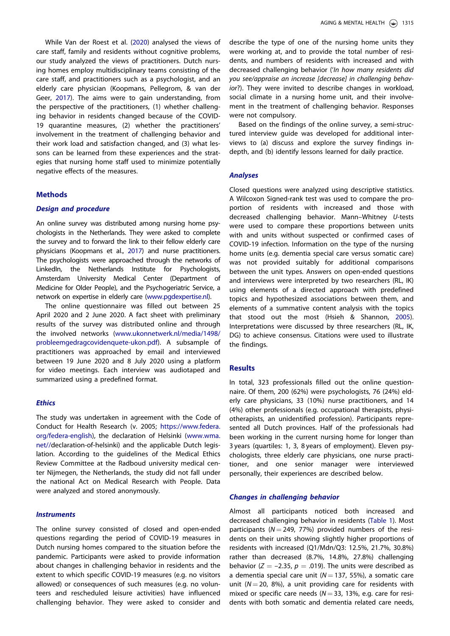<span id="page-2-0"></span>While Van der Roest et al. [\(2020\)](#page-6-0) analysed the views of care staff, family and residents without cognitive problems, our study analyzed the views of practitioners. Dutch nursing homes employ multidisciplinary teams consisting of the care staff, and practitioners such as a psychologist, and an elderly care physician (Koopmans, Pellegrom, & van der Geer, [2017](#page-6-0)). The aims were to gain understanding, from the perspective of the practitioners, (1) whether challenging behavior in residents changed because of the COVID-19 quarantine measures, (2) whether the practitioners' involvement in the treatment of challenging behavior and their work load and satisfaction changed, and (3) what lessons can be learned from these experiences and the strategies that nursing home staff used to minimize potentially negative effects of the measures.

## Methods

#### Design and procedure

An online survey was distributed among nursing home psychologists in the Netherlands. They were asked to complete the survey and to forward the link to their fellow elderly care physicians (Koopmans et al., [2017\)](#page-6-0) and nurse practitioners. The psychologists were approached through the networks of LinkedIn, the Netherlands Institute for Psychologists, Amsterdam University Medical Center (Department of Medicine for Older People), and the Psychogeriatric Service, a network on expertise in elderly care [\(www.pgdexpertise.nl\)](http://www.pgdexpertise.nl).

The online questionnaire was filled out between 25 April 2020 and 2 June 2020. A fact sheet with preliminary results of the survey was distributed online and through the involved networks [\(www.ukonnetwerk.nl/media/1498/](http://www.ukonnetwerk.nl/media/1498/probleemgedragcovidenquete-ukon.pdf) [probleemgedragcovidenquete-ukon.pdf\)](http://www.ukonnetwerk.nl/media/1498/probleemgedragcovidenquete-ukon.pdf). A subsample of practitioners was approached by email and interviewed between 19 June 2020 and 8 July 2020 using a platform for video meetings. Each interview was audiotaped and summarized using a predefined format.

## **Ethics**

The study was undertaken in agreement with the Code of Conduct for Health Research (v. 2005; [https://www.federa.](https://www.federa.org/federa-english) [org/federa-english\)](https://www.federa.org/federa-english), the declaration of Helsinki [\(www.wma.](http://www.wma.net//) [net//d](http://www.wma.net//)eclaration-of-helsinki) and the applicable Dutch legislation. According to the guidelines of the Medical Ethics Review Committee at the Radboud university medical center Nijmegen, the Netherlands, the study did not fall under the national Act on Medical Research with People. Data were analyzed and stored anonymously.

#### **Instruments**

The online survey consisted of closed and open-ended questions regarding the period of COVID-19 measures in Dutch nursing homes compared to the situation before the pandemic. Participants were asked to provide information about changes in challenging behavior in residents and the extent to which specific COVID-19 measures (e.g. no visitors allowed) or consequences of such measures (e.g. no volunteers and rescheduled leisure activities) have influenced challenging behavior. They were asked to consider and

describe the type of one of the nursing home units they were working at, and to provide the total number of residents, and numbers of residents with increased and with decreased challenging behavior ('In how many residents did you see/appraise an increase [decrease] in challenging behavior?). They were invited to describe changes in workload, social climate in a nursing home unit, and their involvement in the treatment of challenging behavior. Responses were not compulsory.

Based on the findings of the online survey, a semi-structured interview guide was developed for additional interviews to (a) discuss and explore the survey findings indepth, and (b) identify lessons learned for daily practice.

#### Analyses

Closed questions were analyzed using descriptive statistics. A Wilcoxon Signed-rank test was used to compare the proportion of residents with increased and those with decreased challenging behavior. Mann–Whitney U-tests were used to compare these proportions between units with and units without suspected or confirmed cases of COVID-19 infection. Information on the type of the nursing home units (e.g. dementia special care versus somatic care) was not provided suitably for additional comparisons between the unit types. Answers on open-ended questions and interviews were interpreted by two researchers (RL, IK) using elements of a directed approach with predefined topics and hypothesized associations between them, and elements of a summative content analysis with the topics that stood out the most (Hsieh & Shannon, [2005\)](#page-6-0). Interpretations were discussed by three researchers (RL, IK, DG) to achieve consensus. Citations were used to illustrate the findings.

## Results

In total, 323 professionals filled out the online questionnaire. Of them, 200 (62%) were psychologists, 76 (24%) elderly care physicians, 33 (10%) nurse practitioners, and 14 (4%) other professionals (e.g. occupational therapists, physiotherapists, an unidentified profession). Participants represented all Dutch provinces. Half of the professionals had been working in the current nursing home for longer than 3 years (quartiles: 1, 3, 8 years of employment). Eleven psychologists, three elderly care physicians, one nurse practitioner, and one senior manager were interviewed personally, their experiences are described below.

#### Changes in challenging behavior

Almost all participants noticed both increased and decreased challenging behavior in residents ([Table 1\)](#page-3-0). Most participants ( $N = 249$ , 77%) provided numbers of the residents on their units showing slightly higher proportions of residents with increased (Q1/Mdn/Q3: 12.5%, 21.7%, 30.8%) rather than decreased (8.7%, 14.8%, 27.8%) challenging behavior ( $Z = -2.35$ ,  $p = .019$ ). The units were described as a dementia special care unit ( $N = 137$ , 55%), a somatic care unit ( $N = 20$ , 8%), a unit providing care for residents with mixed or specific care needs ( $N = 33$ , 13%, e.g. care for residents with both somatic and dementia related care needs,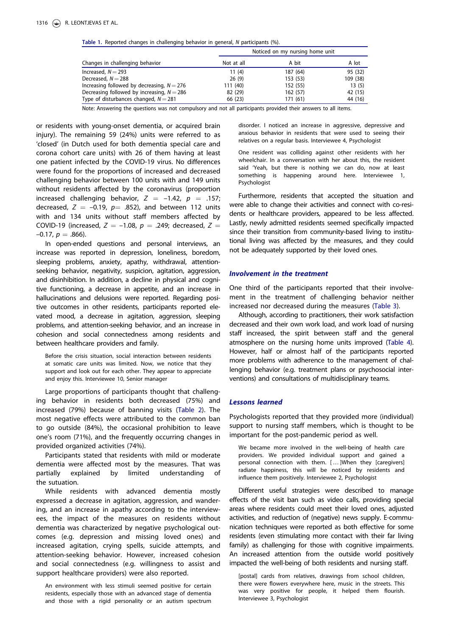<span id="page-3-0"></span>Table 1. Reported changes in challenging behavior in general, N participants (%).

|                                              | Noticed on my nursing home unit |          |          |  |
|----------------------------------------------|---------------------------------|----------|----------|--|
| Changes in challenging behavior              | Not at all                      | A bit    | A lot    |  |
| Increased, $N = 293$                         | 11(4)                           | 187 (64) | 95 (32)  |  |
| Decreased, $N = 288$                         | 26(9)                           | 153 (53) | 109 (38) |  |
| Increasing followed by decreasing, $N = 276$ | 111 (40)                        | 152 (55) | 13(5)    |  |
| Decreasing followed by increasing, $N = 286$ | 82 (29)                         | 162 (57) | 42 (15)  |  |
| Type of disturbances changed, $N = 281$      | 66 (23)                         | 171 (61) | 44 (16)  |  |

Note: Answering the questions was not compulsory and not all participants provided their answers to all items.

or residents with young-onset dementia, or acquired brain injury). The remaining 59 (24%) units were referred to as 'closed' (in Dutch used for both dementia special care and corona cohort care units) with 26 of them having at least one patient infected by the COVID-19 virus. No differences were found for the proportions of increased and decreased challenging behavior between 100 units with and 149 units without residents affected by the coronavirus (proportion increased challenging behavior,  $Z = -1.42$ ,  $p = .157$ ; decreased,  $Z = -0.19$ ,  $p= .852$ ), and between 112 units with and 134 units without staff members affected by COVID-19 (increased,  $Z = -1.08$ ,  $p = .249$ ; decreased,  $Z =$  $-0.17$ ,  $p = .866$ ).

In open-ended questions and personal interviews, an increase was reported in depression, loneliness, boredom, sleeping problems, anxiety, apathy, withdrawal, attentionseeking behavior, negativity, suspicion, agitation, aggression, and disinhibition. In addition, a decline in physical and cognitive functioning, a decrease in appetite, and an increase in hallucinations and delusions were reported. Regarding positive outcomes in other residents, participants reported elevated mood, a decrease in agitation, aggression, sleeping problems, and attention-seeking behavior, and an increase in cohesion and social connectedness among residents and between healthcare providers and family.

Before the crisis situation, social interaction between residents at somatic care units was limited. Now, we notice that they support and look out for each other. They appear to appreciate and enjoy this. Interviewee 10, Senior manager

Large proportions of participants thought that challenging behavior in residents both decreased (75%) and increased (79%) because of banning visits ([Table 2](#page-4-0)). The most negative effects were attributed to the common ban to go outside (84%), the occasional prohibition to leave one's room (71%), and the frequently occurring changes in provided organized activities (74%).

Participants stated that residents with mild or moderate dementia were affected most by the measures. That was partially explained by limited understanding of the sutuation.

While residents with advanced dementia mostly expressed a decrease in agitation, aggression, and wandering, and an increase in apathy according to the interviewees, the impact of the measures on residents without dementia was characterized by negative psychological outcomes (e.g. depression and missing loved ones) and increased agitation, crying spells, suicide attempts, and attention-seeking behavior. However, increased cohesion and social connectedness (e.g. willingness to assist and support healthcare providers) were also reported.

An environment with less stimuli seemed positive for certain residents, especially those with an advanced stage of dementia and those with a rigid personality or an autism spectrum disorder. I noticed an increase in aggressive, depressive and anxious behavior in residents that were used to seeing their relatives on a regular basis. Interviewee 4, Psychologist

One resident was colliding against other residents with her wheelchair. In a conversation with her about this, the resident said 'Yeah, but there is nothing we can do, now at least something is happening around here. Interviewee 1, Psychologist

Furthermore, residents that accepted the situation and were able to change their activities and connect with co-residents or healthcare providers, appeared to be less affected. Lastly, newly admitted residents seemed specifically impacted since their transition from community-based living to institutional living was affected by the measures, and they could not be adequately supported by their loved ones.

#### Involvement in the treatment

One third of the participants reported that their involvement in the treatment of challenging behavior neither increased nor decreased during the measures [\(Table 3\)](#page-4-0).

Although, according to practitioners, their work satisfaction decreased and their own work load, and work load of nursing staff increased, the spirit between staff and the general atmosphere on the nursing home units improved [\(Table 4\)](#page-4-0). However, half or almost half of the participants reported more problems with adherence to the management of challenging behavior (e.g. treatment plans or psychosocial interventions) and consultations of multidisciplinary teams.

#### Lessons learned

Psychologists reported that they provided more (individual) support to nursing staff members, which is thought to be important for the post-pandemic period as well.

We became more involved in the well-being of health care providers. We provided individual support and gained a personal connection with them. [ … ]When they [caregivers] radiate happiness, this will be noticed by residents and influence them positively. Interviewee 2, Psychologist

Different useful strategies were described to manage effects of the visit ban such as video calls, providing special areas where residents could meet their loved ones, adjusted activities, and reduction of (negative) news supply. E-communication techniques were reported as both effective for some residents (even stimulating more contact with their far living family) as challenging for those with cognitive impairments. An increased attention from the outside world positively impacted the well-being of both residents and nursing staff.

[postal] cards from relatives, drawings from school children, there were flowers everywhere here, music in the streets. This was very positive for people, it helped them flourish. Interviewee 3, Psychologist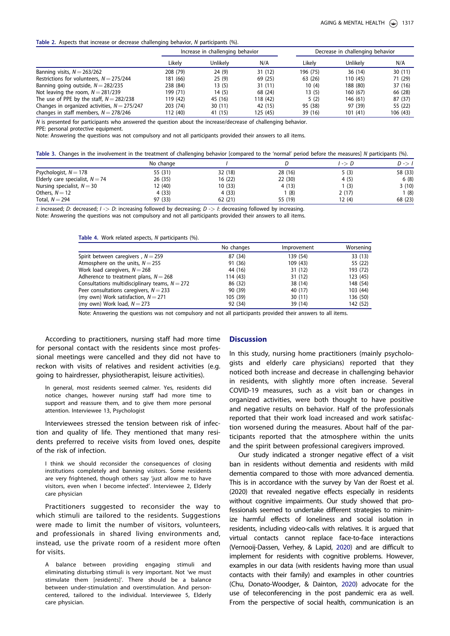<span id="page-4-0"></span>Table 2. Aspects that increase or decrease challenging behavior, N participants (%).

| Decrease in challenging behavior |          |  |
|----------------------------------|----------|--|
| Unlikely                         | N/A      |  |
| 36(14)                           | 30(11)   |  |
| 110(45)                          | 71 (29)  |  |
| 188 (80)                         | 37 (16)  |  |
| 160 (67)                         | 66 (28)  |  |
| 146 (61)                         | 87 (37)  |  |
| 97 (39)                          | 55 (22)  |  |
| 101 (41)                         | 106 (43) |  |
|                                  |          |  |

N is presented for participants who answered the question about the increase/decrease of challenging behavior.

PPE: personal protective equipment.

Note: Answering the questions was not compulsory and not all participants provided their answers to all items.

|  | Table 3. Changes in the involvement in the treatment of challenging behavior [compared to the 'normal' period before the measures] N participants (%). |
|--|--------------------------------------------------------------------------------------------------------------------------------------------------------|
|  |                                                                                                                                                        |

|                                   | No change |         |         | l -> D | D -> 1  |
|-----------------------------------|-----------|---------|---------|--------|---------|
| Psychologist, $N = 178$           | 55 (31)   | 32 (18) | 28 (16) | 5(3)   | 58 (33) |
| Elderly care specialist, $N = 74$ | 26(35)    | 16 (22) | 22 (30) | 4 (5)  | 6(8)    |
| Nursing specialist, $N = 30$      | 12 (40)   | 10 (33) | 4(13)   | 1 (3)  | 3(10)   |
| Others, $N = 12$                  | 4(33)     | 4(33)   | (8)     | 2(17)  | 1(8)    |
| Total, $N = 294$                  | 97 (33)   | 62(21)  | 55 (19) | 12(4)  | 68 (23) |

I: increased; D: decreased;  $I \rightarrow D$ : increasing followed by decreasing;  $D \rightarrow I$ : decreasing followed by increasing.

Note: Answering the questions was not compulsory and not all participants provided their answers to all items.

Table 4. Work related aspects, N participants (%).

|                                                  | No changes | Improvement | Worsening |
|--------------------------------------------------|------------|-------------|-----------|
| Spirit between caregivers, $N = 259$             | 87 (34)    | 139 (54)    | 33(13)    |
| Atmosphere on the units, $N = 255$               | 91 (36)    | 109 (43)    | 55 (22)   |
| Work load caregivers, $N = 268$                  | 44 (16)    | 31(12)      | 193 (72)  |
| Adherence to treatment plans, $N = 268$          | 114 (43)   | 31(12)      | 123(45)   |
| Consultations multidisciplinary teams, $N = 272$ | 86 (32)    | 38 (14)     | 148 (54)  |
| Peer consultations caregivers, $N = 233$         | 90 (39)    | 40 (17)     | 103 (44)  |
| (my own) Work satisfaction, $N = 271$            | 105 (39)   | 30(11)      | 136 (50)  |
| (my own) Work load, $N = 273$                    | 92 (34)    | 39 (14)     | 142 (52)  |

Note: Answering the questions was not compulsory and not all participants provided their answers to all items.

According to practitioners, nursing staff had more time for personal contact with the residents since most professional meetings were cancelled and they did not have to reckon with visits of relatives and resident activities (e.g. going to hairdresser, physiotherapist, leisure activities).

In general, most residents seemed calmer. Yes, residents did notice changes, however nursing staff had more time to support and reassure them, and to give them more personal attention. Interviewee 13, Psychologist

Interviewees stressed the tension between risk of infection and quality of life. They mentioned that many residents preferred to receive visits from loved ones, despite of the risk of infection.

I think we should reconsider the consequences of closing institutions completely and banning visitors. Some residents are very frightened, though others say 'just allow me to have visitors, even when I become infected'. Interviewee 2, Elderly care physician

Practitioners suggested to reconsider the way to which stimuli are tailored to the residents. Suggestions were made to limit the number of visitors, volunteers, and professionals in shared living environments and, instead, use the private room of a resident more often for visits.

A balance between providing engaging stimuli and eliminating disturbing stimuli is very important. Not 'we must stimulate them [residents]'. There should be a balance between under-stimulation and overstimulation. And personcentered, tailored to the individual. Interviewee 5, Elderly care physician.

## **Discussion**

In this study, nursing home practitioners (mainly psychologists and elderly care physicians) reported that they noticed both increase and decrease in challenging behavior in residents, with slightly more often increase. Several COVID-19 measures, such as a visit ban or changes in organized activities, were both thought to have positive and negative results on behavior. Half of the professionals reported that their work load increased and work satisfaction worsened during the measures. About half of the participants reported that the atmosphere within the units and the spirit between professional caregivers improved.

Our study indicated a stronger negative effect of a visit ban in residents without dementia and residents with mild dementia compared to those with more advanced dementia. This is in accordance with the survey by Van der Roest et al. (2020) that revealed negative effects especially in residents without cognitive impairments. Our study showed that professionals seemed to undertake different strategies to minimize harmful effects of loneliness and social isolation in residents, including video-calls with relatives. It is argued that virtual contacts cannot replace face-to-face interactions (Vernooij-Dassen, Verhey, & Lapid, [2020\)](#page-6-0) and are difficult to implement for residents with cognitive problems. However, examples in our data (with residents having more than usual contacts with their family) and examples in other countries (Chu, Donato-Woodger, & Dainton, [2020\)](#page-6-0) advocate for the use of teleconferencing in the post pandemic era as well. From the perspective of social health, communication is an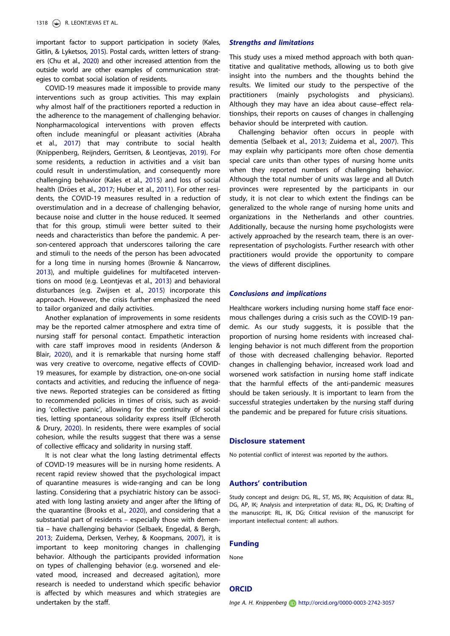<span id="page-5-0"></span>important factor to support participation in society (Kales, Gitlin, & Lyketsos, [2015](#page-6-0)). Postal cards, written letters of strangers (Chu et al., [2020](#page-6-0)) and other increased attention from the outside world are other examples of communication strategies to combat social isolation of residents.

COVID-19 measures made it impossible to provide many interventions such as group activities. This may explain why almost half of the practitioners reported a reduction in the adherence to the management of challenging behavior. Nonpharmacological interventions with proven effects often include meaningful or pleasant activities (Abraha et al., [2017](#page-6-0)) that may contribute to social health (Knippenberg, Reijnders, Gerritsen, & Leontjevas, [2019](#page-6-0)). For some residents, a reduction in activities and a visit ban could result in understimulation, and consequently more challenging behavior (Kales et al., [2015\)](#page-6-0) and loss of social health (Dröes et al., [2017](#page-6-0); Huber et al., [2011\)](#page-6-0). For other residents, the COVID-19 measures resulted in a reduction of overstimulation and in a decrease of challenging behavior, because noise and clutter in the house reduced. It seemed that for this group, stimuli were better suited to their needs and characteristics than before the pandemic. A person-centered approach that underscores tailoring the care and stimuli to the needs of the person has been advocated for a long time in nursing homes (Brownie & Nancarrow, [2013](#page-6-0)), and multiple guidelines for multifaceted interventions on mood (e.g. Leontjevas et al., [2013\)](#page-6-0) and behavioral disturbances (e.g. Zwijsen et al., [2015\)](#page-6-0) incorporate this approach. However, the crisis further emphasized the need to tailor organized and daily activities.

Another explanation of improvements in some residents may be the reported calmer atmosphere and extra time of nursing staff for personal contact. Empathetic interaction with care staff improves mood in residents (Anderson & Blair, [2020](#page-6-0)), and it is remarkable that nursing home staff was very creative to overcome, negative effects of COVID-19 measures, for example by distraction, one-on-one social contacts and activities, and reducing the influence of negative news. Reported strategies can be considered as fitting to recommended policies in times of crisis, such as avoiding 'collective panic', allowing for the continuity of social ties, letting spontaneous solidarity express itself (Elcheroth & Drury, [2020](#page-6-0)). In residents, there were examples of social cohesion, while the results suggest that there was a sense of collective efficacy and solidarity in nursing staff.

It is not clear what the long lasting detrimental effects of COVID-19 measures will be in nursing home residents. A recent rapid review showed that the psychological impact of quarantine measures is wide-ranging and can be long lasting. Considering that a psychiatric history can be associated with long lasting anxiety and anger after the lifting of the quarantine (Brooks et al., [2020](#page-6-0)), and considering that a substantial part of residents – especially those with dementia – have challenging behavior (Selbaek, Engedal, & Bergh, [2013](#page-6-0); Zuidema, Derksen, Verhey, & Koopmans, [2007\)](#page-6-0), it is important to keep monitoring changes in challenging behavior. Although the participants provided information on types of challenging behavior (e.g. worsened and elevated mood, increased and decreased agitation), more research is needed to understand which specific behavior is affected by which measures and which strategies are undertaken by the staff.

#### Strengths and limitations

This study uses a mixed method approach with both quantitative and qualitative methods, allowing us to both give insight into the numbers and the thoughts behind the results. We limited our study to the perspective of the practitioners (mainly psychologists and physicians). Although they may have an idea about cause–effect relationships, their reports on causes of changes in challenging behavior should be interpreted with caution.

Challenging behavior often occurs in people with dementia (Selbaek et al., [2013](#page-6-0); Zuidema et al., [2007\)](#page-6-0). This may explain why participants more often chose dementia special care units than other types of nursing home units when they reported numbers of challenging behavior. Although the total number of units was large and all Dutch provinces were represented by the participants in our study, it is not clear to which extent the findings can be generalized to the whole range of nursing home units and organizations in the Netherlands and other countries. Additionally, because the nursing home psychologists were actively approached by the research team, there is an overrepresentation of psychologists. Further research with other practitioners would provide the opportunity to compare the views of different disciplines.

#### Conclusions and implications

Healthcare workers including nursing home staff face enormous challenges during a crisis such as the COVID-19 pandemic. As our study suggests, it is possible that the proportion of nursing home residents with increased challenging behavior is not much different from the proportion of those with decreased challenging behavior. Reported changes in challenging behavior, increased work load and worsened work satisfaction in nursing home staff indicate that the harmful effects of the anti-pandemic measures should be taken seriously. It is important to learn from the successful strategies undertaken by the nursing staff during the pandemic and be prepared for future crisis situations.

## Disclosure statement

No potential conflict of interest was reported by the authors.

## Authors' contribution

Study concept and design: DG, RL, ST, MS, RK; Acquisition of data: RL, DG, AP, IK; Analysis and interpretation of data: RL, DG, IK; Drafting of the manuscript: RL, IK, DG; Critical revision of the manuscript for important intellectual content: all authors.

#### Funding

None

#### **ORCID**